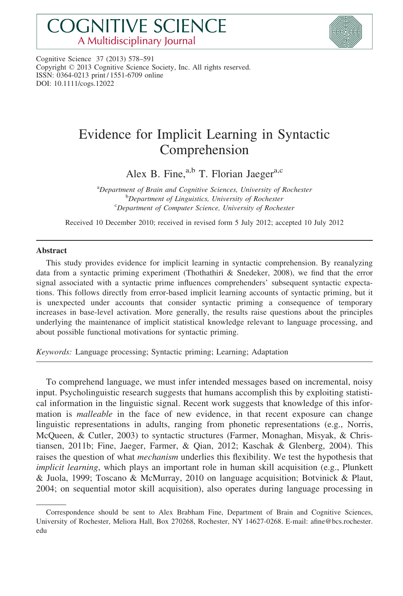# **COGNITIVE SCIENCE** A Multidisciplinary Journal



Cognitive Science 37 (2013) 578–591 Copyright © 2013 Cognitive Science Society, Inc. All rights reserved. ISSN: 0364-0213 print / 1551-6709 online DOI: 10.1111/cogs.12022

# Evidence for Implicit Learning in Syntactic Comprehension

Alex B. Fine, $a,b$  T. Florian Jaeger $a,c$ 

<sup>a</sup> Department of Brain and Cognitive Sciences, University of Rochester<br>b Department of Linquisties, University of Rochester  $b$ Department of Linguistics, University of Rochester Department of Computer Science, University of Rochester

Received 10 December 2010; received in revised form 5 July 2012; accepted 10 July 2012

### Abstract

This study provides evidence for implicit learning in syntactic comprehension. By reanalyzing data from a syntactic priming experiment (Thothathiri & Snedeker, 2008), we find that the error signal associated with a syntactic prime influences comprehenders' subsequent syntactic expectations. This follows directly from error-based implicit learning accounts of syntactic priming, but it is unexpected under accounts that consider syntactic priming a consequence of temporary increases in base-level activation. More generally, the results raise questions about the principles underlying the maintenance of implicit statistical knowledge relevant to language processing, and about possible functional motivations for syntactic priming.

Keywords: Language processing; Syntactic priming; Learning; Adaptation

To comprehend language, we must infer intended messages based on incremental, noisy input. Psycholinguistic research suggests that humans accomplish this by exploiting statistical information in the linguistic signal. Recent work suggests that knowledge of this information is *malleable* in the face of new evidence, in that recent exposure can change linguistic representations in adults, ranging from phonetic representations (e.g., Norris, McQueen, & Cutler, 2003) to syntactic structures (Farmer, Monaghan, Misyak, & Christiansen, 2011b; Fine, Jaeger, Farmer, & Qian, 2012; Kaschak & Glenberg, 2004). This raises the question of what *mechanism* underlies this flexibility. We test the hypothesis that implicit learning, which plays an important role in human skill acquisition (e.g., Plunkett & Juola, 1999; Toscano & McMurray, 2010 on language acquisition; Botvinick & Plaut, 2004; on sequential motor skill acquisition), also operates during language processing in

Correspondence should be sent to Alex Brabham Fine, Department of Brain and Cognitive Sciences, University of Rochester, Meliora Hall, Box 270268, Rochester, NY 14627-0268. E-mail: afine@bcs.rochester. edu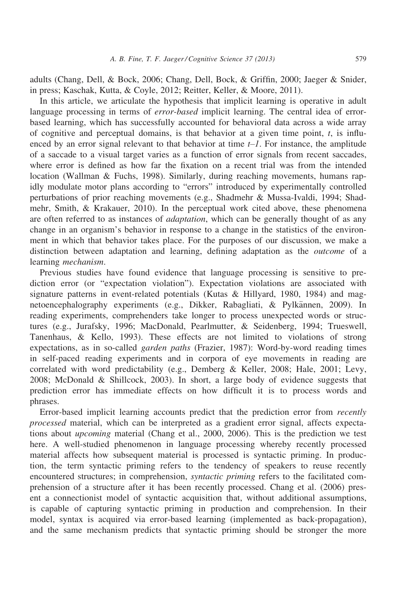adults (Chang, Dell, & Bock, 2006; Chang, Dell, Bock, & Griffin, 2000; Jaeger & Snider, in press; Kaschak, Kutta, & Coyle, 2012; Reitter, Keller, & Moore, 2011).

In this article, we articulate the hypothesis that implicit learning is operative in adult language processing in terms of error-based implicit learning. The central idea of errorbased learning, which has successfully accounted for behavioral data across a wide array of cognitive and perceptual domains, is that behavior at a given time point,  $t$ , is influenced by an error signal relevant to that behavior at time  $t-1$ . For instance, the amplitude of a saccade to a visual target varies as a function of error signals from recent saccades, where error is defined as how far the fixation on a recent trial was from the intended location (Wallman & Fuchs, 1998). Similarly, during reaching movements, humans rapidly modulate motor plans according to "errors" introduced by experimentally controlled perturbations of prior reaching movements (e.g., Shadmehr & Mussa-Ivaldi, 1994; Shadmehr, Smith, & Krakauer, 2010). In the perceptual work cited above, these phenomena are often referred to as instances of adaptation, which can be generally thought of as any change in an organism's behavior in response to a change in the statistics of the environment in which that behavior takes place. For the purposes of our discussion, we make a distinction between adaptation and learning, defining adaptation as the outcome of a learning mechanism.

Previous studies have found evidence that language processing is sensitive to prediction error (or "expectation violation"). Expectation violations are associated with signature patterns in event-related potentials (Kutas & Hillyard, 1980, 1984) and magnetoencephalography experiments (e.g., Dikker, Rabagliati, & Pylkännen, 2009). In reading experiments, comprehenders take longer to process unexpected words or structures (e.g., Jurafsky, 1996; MacDonald, Pearlmutter, & Seidenberg, 1994; Trueswell, Tanenhaus, & Kello, 1993). These effects are not limited to violations of strong expectations, as in so-called garden paths (Frazier, 1987): Word-by-word reading times in self-paced reading experiments and in corpora of eye movements in reading are correlated with word predictability (e.g., Demberg & Keller, 2008; Hale, 2001; Levy, 2008; McDonald & Shillcock, 2003). In short, a large body of evidence suggests that prediction error has immediate effects on how difficult it is to process words and phrases.

Error-based implicit learning accounts predict that the prediction error from recently processed material, which can be interpreted as a gradient error signal, affects expectations about upcoming material (Chang et al., 2000, 2006). This is the prediction we test here. A well-studied phenomenon in language processing whereby recently processed material affects how subsequent material is processed is syntactic priming. In production, the term syntactic priming refers to the tendency of speakers to reuse recently encountered structures; in comprehension, syntactic priming refers to the facilitated comprehension of a structure after it has been recently processed. Chang et al. (2006) present a connectionist model of syntactic acquisition that, without additional assumptions, is capable of capturing syntactic priming in production and comprehension. In their model, syntax is acquired via error-based learning (implemented as back-propagation), and the same mechanism predicts that syntactic priming should be stronger the more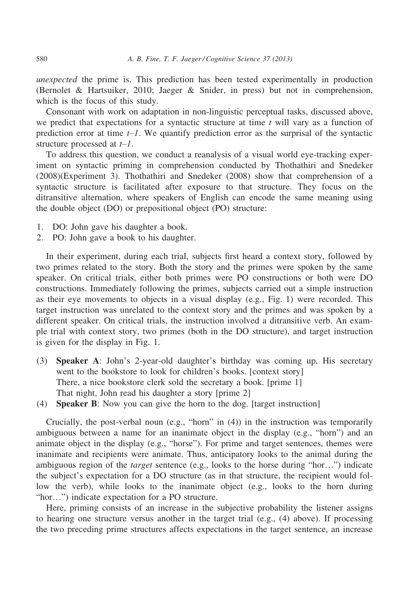unexpected the prime is. This prediction has been tested experimentally in production (Bernolet & Hartsuiker, 2010; Jaeger & Snider, in press) but not in comprehension, which is the focus of this study.

Consonant with work on adaptation in non-linguistic perceptual tasks, discussed above, we predict that expectations for a syntactic structure at time  $t$  will vary as a function of prediction error at time  $t-1$ . We quantify prediction error as the surprisal of the syntactic structure processed at  $t-1$ .

To address this question, we conduct a reanalysis of a visual world eye-tracking experiment on syntactic priming in comprehension conducted by Thothathiri and Snedeker (2008)(Experiment 3). Thothathiri and Snedeker (2008) show that comprehension of a syntactic structure is facilitated after exposure to that structure. They focus on the ditransitive alternation, where speakers of English can encode the same meaning using the double object (DO) or prepositional object (PO) structure:

- 1. DO: John gave his daughter a book.
- 2. PO: John gave a book to his daughter.

In their experiment, during each trial, subjects first heard a context story, followed by two primes related to the story. Both the story and the primes were spoken by the same speaker. On critical trials, either both primes were PO constructions or both were DO constructions. Immediately following the primes, subjects carried out a simple instruction as their eye movements to objects in a visual display (e.g., Fig. 1) were recorded. This target instruction was unrelated to the context story and the primes and was spoken by a different speaker. On critical trials, the instruction involved a ditransitive verb. An example trial with context story, two primes (both in the DO structure), and target instruction is given for the display in Fig. 1.

- (3) Speaker A: John's 2-year-old daughter's birthday was coming up. His secretary went to the bookstore to look for children's books. [context story] There, a nice bookstore clerk sold the secretary a book. [prime 1] That night, John read his daughter a story [prime 2]
- (4) Speaker B: Now you can give the horn to the dog. [target instruction]

Crucially, the post-verbal noun (e.g., "horn" in (4)) in the instruction was temporarily ambiguous between a name for an inanimate object in the display (e.g., "horn") and an animate object in the display (e.g., "horse"). For prime and target sentences, themes were inanimate and recipients were animate. Thus, anticipatory looks to the animal during the ambiguous region of the *target* sentence (e.g., looks to the horse during "hor...") indicate the subject's expectation for a DO structure (as in that structure, the recipient would follow the verb), while looks to the inanimate object (e.g., looks to the horn during "hor…") indicate expectation for a PO structure.

Here, priming consists of an increase in the subjective probability the listener assigns to hearing one structure versus another in the target trial (e.g., (4) above). If processing the two preceding prime structures affects expectations in the target sentence, an increase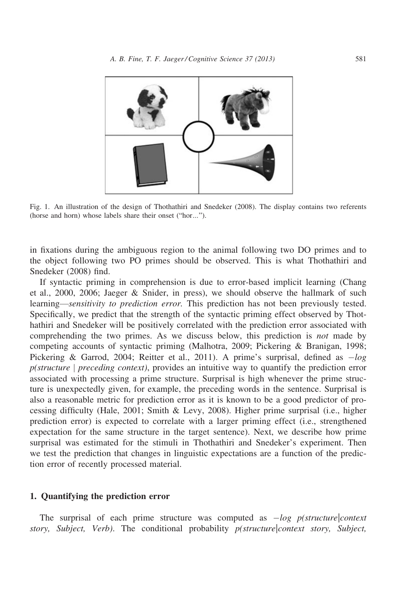

Fig. 1. An illustration of the design of Thothathiri and Snedeker (2008). The display contains two referents (horse and horn) whose labels share their onset ("hor…").

in fixations during the ambiguous region to the animal following two DO primes and to the object following two PO primes should be observed. This is what Thothathiri and Snedeker (2008) find.

If syntactic priming in comprehension is due to error-based implicit learning (Chang et al., 2000, 2006; Jaeger & Snider, in press), we should observe the hallmark of such learning—sensitivity to prediction error. This prediction has not been previously tested. Specifically, we predict that the strength of the syntactic priming effect observed by Thothathiri and Snedeker will be positively correlated with the prediction error associated with comprehending the two primes. As we discuss below, this prediction is not made by competing accounts of syntactic priming (Malhotra, 2009; Pickering & Branigan, 1998; Pickering & Garrod, 2004; Reitter et al., 2011). A prime's surprisal, defined as  $-log$ p(structure | preceding context), provides an intuitive way to quantify the prediction error associated with processing a prime structure. Surprisal is high whenever the prime structure is unexpectedly given, for example, the preceding words in the sentence. Surprisal is also a reasonable metric for prediction error as it is known to be a good predictor of processing difficulty (Hale, 2001; Smith & Levy, 2008). Higher prime surprisal (i.e., higher prediction error) is expected to correlate with a larger priming effect (i.e., strengthened expectation for the same structure in the target sentence). Next, we describe how prime surprisal was estimated for the stimuli in Thothathiri and Snedeker's experiment. Then we test the prediction that changes in linguistic expectations are a function of the prediction error of recently processed material.

## 1. Quantifying the prediction error

The surprisal of each prime structure was computed as  $-log$  *p(structure)context* story, Subject, Verb). The conditional probability p(structure context story, Subject,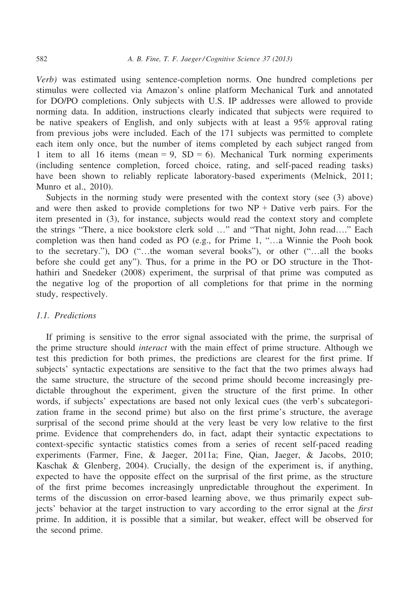Verb) was estimated using sentence-completion norms. One hundred completions per stimulus were collected via Amazon's online platform Mechanical Turk and annotated for DO/PO completions. Only subjects with U.S. IP addresses were allowed to provide norming data. In addition, instructions clearly indicated that subjects were required to be native speakers of English, and only subjects with at least a 95% approval rating from previous jobs were included. Each of the 171 subjects was permitted to complete each item only once, but the number of items completed by each subject ranged from 1 item to all 16 items (mean = 9,  $SD = 6$ ). Mechanical Turk norming experiments (including sentence completion, forced choice, rating, and self-paced reading tasks) have been shown to reliably replicate laboratory-based experiments (Melnick, 2011; Munro et al., 2010).

Subjects in the norming study were presented with the context story (see (3) above) and were then asked to provide completions for two  $NP +$  Dative verb pairs. For the item presented in (3), for instance, subjects would read the context story and complete the strings "There, a nice bookstore clerk sold …" and "That night, John read…." Each completion was then hand coded as PO (e.g., for Prime 1, "…a Winnie the Pooh book to the secretary."), DO ("…the woman several books"), or other ("…all the books before she could get any"). Thus, for a prime in the PO or DO structure in the Thothathiri and Snedeker (2008) experiment, the surprisal of that prime was computed as the negative log of the proportion of all completions for that prime in the norming study, respectively.

#### 1.1. Predictions

If priming is sensitive to the error signal associated with the prime, the surprisal of the prime structure should interact with the main effect of prime structure. Although we test this prediction for both primes, the predictions are clearest for the first prime. If subjects' syntactic expectations are sensitive to the fact that the two primes always had the same structure, the structure of the second prime should become increasingly predictable throughout the experiment, given the structure of the first prime. In other words, if subjects' expectations are based not only lexical cues (the verb's subcategorization frame in the second prime) but also on the first prime's structure, the average surprisal of the second prime should at the very least be very low relative to the first prime. Evidence that comprehenders do, in fact, adapt their syntactic expectations to context-specific syntactic statistics comes from a series of recent self-paced reading experiments (Farmer, Fine, & Jaeger, 2011a; Fine, Qian, Jaeger, & Jacobs, 2010; Kaschak & Glenberg, 2004). Crucially, the design of the experiment is, if anything, expected to have the opposite effect on the surprisal of the first prime, as the structure of the first prime becomes increasingly unpredictable throughout the experiment. In terms of the discussion on error-based learning above, we thus primarily expect subjects' behavior at the target instruction to vary according to the error signal at the first prime. In addition, it is possible that a similar, but weaker, effect will be observed for the second prime.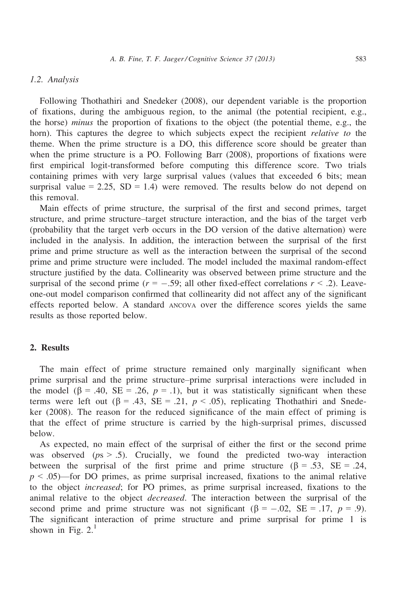#### 1.2. Analysis

Following Thothathiri and Snedeker (2008), our dependent variable is the proportion of fixations, during the ambiguous region, to the animal (the potential recipient, e.g., the horse) minus the proportion of fixations to the object (the potential theme, e.g., the horn). This captures the degree to which subjects expect the recipient *relative to* the theme. When the prime structure is a DO, this difference score should be greater than when the prime structure is a PO. Following Barr (2008), proportions of fixations were first empirical logit-transformed before computing this difference score. Two trials containing primes with very large surprisal values (values that exceeded 6 bits; mean surprisal value = 2.25,  $SD = 1.4$ ) were removed. The results below do not depend on this removal.

Main effects of prime structure, the surprisal of the first and second primes, target structure, and prime structure–target structure interaction, and the bias of the target verb (probability that the target verb occurs in the DO version of the dative alternation) were included in the analysis. In addition, the interaction between the surprisal of the first prime and prime structure as well as the interaction between the surprisal of the second prime and prime structure were included. The model included the maximal random-effect structure justified by the data. Collinearity was observed between prime structure and the surprisal of the second prime ( $r = -.59$ ; all other fixed-effect correlations  $r < .2$ ). Leaveone-out model comparison confirmed that collinearity did not affect any of the significant effects reported below. A standard ANCOVA over the difference scores yields the same results as those reported below.

#### 2. Results

The main effect of prime structure remained only marginally significant when prime surprisal and the prime structure–prime surprisal interactions were included in the model ( $\beta$  = .40, SE = .26,  $p = .1$ ), but it was statistically significant when these terms were left out ( $\beta = .43$ ,  $SE = .21$ ,  $p < .05$ ), replicating Thothathiri and Snedeker (2008). The reason for the reduced significance of the main effect of priming is that the effect of prime structure is carried by the high-surprisal primes, discussed below.

As expected, no main effect of the surprisal of either the first or the second prime was observed ( $ps > .5$ ). Crucially, we found the predicted two-way interaction between the surprisal of the first prime and prime structure  $(\beta = .53, \text{ } SE = .24, \text{ }$  $p < .05$ —for DO primes, as prime surprisal increased, fixations to the animal relative to the object increased; for PO primes, as prime surprisal increased, fixations to the animal relative to the object decreased. The interaction between the surprisal of the second prime and prime structure was not significant ( $\beta = -.02$ ,  $SE = .17$ ,  $p = .9$ ). The significant interaction of prime structure and prime surprisal for prime 1 is shown in Fig.  $2<sup>1</sup>$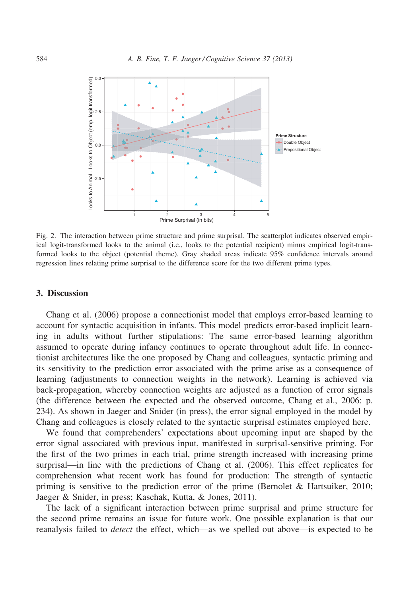

Fig. 2. The interaction between prime structure and prime surprisal. The scatterplot indicates observed empirical logit-transformed looks to the animal (i.e., looks to the potential recipient) minus empirical logit-transformed looks to the object (potential theme). Gray shaded areas indicate 95% confidence intervals around regression lines relating prime surprisal to the difference score for the two different prime types.

### 3. Discussion

Chang et al. (2006) propose a connectionist model that employs error-based learning to account for syntactic acquisition in infants. This model predicts error-based implicit learning in adults without further stipulations: The same error-based learning algorithm assumed to operate during infancy continues to operate throughout adult life. In connectionist architectures like the one proposed by Chang and colleagues, syntactic priming and its sensitivity to the prediction error associated with the prime arise as a consequence of learning (adjustments to connection weights in the network). Learning is achieved via back-propagation, whereby connection weights are adjusted as a function of error signals (the difference between the expected and the observed outcome, Chang et al., 2006: p. 234). As shown in Jaeger and Snider (in press), the error signal employed in the model by Chang and colleagues is closely related to the syntactic surprisal estimates employed here.

We found that comprehenders' expectations about upcoming input are shaped by the error signal associated with previous input, manifested in surprisal-sensitive priming. For the first of the two primes in each trial, prime strength increased with increasing prime surprisal—in line with the predictions of Chang et al. (2006). This effect replicates for comprehension what recent work has found for production: The strength of syntactic priming is sensitive to the prediction error of the prime (Bernolet & Hartsuiker, 2010; Jaeger & Snider, in press; Kaschak, Kutta, & Jones, 2011).

The lack of a significant interaction between prime surprisal and prime structure for the second prime remains an issue for future work. One possible explanation is that our reanalysis failed to detect the effect, which—as we spelled out above—is expected to be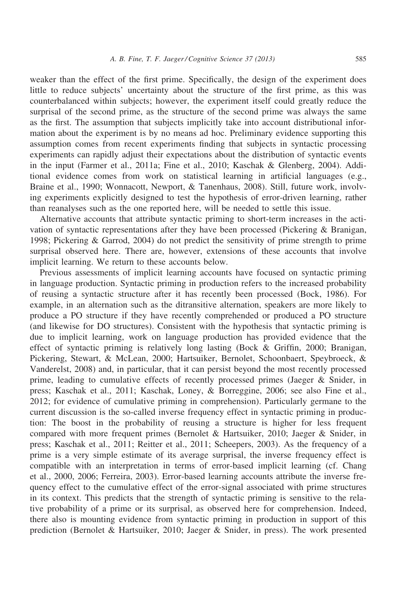weaker than the effect of the first prime. Specifically, the design of the experiment does little to reduce subjects' uncertainty about the structure of the first prime, as this was counterbalanced within subjects; however, the experiment itself could greatly reduce the surprisal of the second prime, as the structure of the second prime was always the same as the first. The assumption that subjects implicitly take into account distributional information about the experiment is by no means ad hoc. Preliminary evidence supporting this assumption comes from recent experiments finding that subjects in syntactic processing experiments can rapidly adjust their expectations about the distribution of syntactic events in the input (Farmer et al., 2011a; Fine et al., 2010; Kaschak & Glenberg, 2004). Additional evidence comes from work on statistical learning in artificial languages (e.g., Braine et al., 1990; Wonnacott, Newport, & Tanenhaus, 2008). Still, future work, involving experiments explicitly designed to test the hypothesis of error-driven learning, rather than reanalyses such as the one reported here, will be needed to settle this issue.

Alternative accounts that attribute syntactic priming to short-term increases in the activation of syntactic representations after they have been processed (Pickering & Branigan, 1998; Pickering & Garrod, 2004) do not predict the sensitivity of prime strength to prime surprisal observed here. There are, however, extensions of these accounts that involve implicit learning. We return to these accounts below.

Previous assessments of implicit learning accounts have focused on syntactic priming in language production. Syntactic priming in production refers to the increased probability of reusing a syntactic structure after it has recently been processed (Bock, 1986). For example, in an alternation such as the ditransitive alternation, speakers are more likely to produce a PO structure if they have recently comprehended or produced a PO structure (and likewise for DO structures). Consistent with the hypothesis that syntactic priming is due to implicit learning, work on language production has provided evidence that the effect of syntactic priming is relatively long lasting (Bock & Griffin, 2000; Branigan, Pickering, Stewart, & McLean, 2000; Hartsuiker, Bernolet, Schoonbaert, Speybroeck, & Vanderelst, 2008) and, in particular, that it can persist beyond the most recently processed prime, leading to cumulative effects of recently processed primes (Jaeger & Snider, in press; Kaschak et al., 2011; Kaschak, Loney, & Borreggine, 2006; see also Fine et al., 2012; for evidence of cumulative priming in comprehension). Particularly germane to the current discussion is the so-called inverse frequency effect in syntactic priming in production: The boost in the probability of reusing a structure is higher for less frequent compared with more frequent primes (Bernolet & Hartsuiker, 2010; Jaeger & Snider, in press; Kaschak et al., 2011; Reitter et al., 2011; Scheepers, 2003). As the frequency of a prime is a very simple estimate of its average surprisal, the inverse frequency effect is compatible with an interpretation in terms of error-based implicit learning (cf. Chang et al., 2000, 2006; Ferreira, 2003). Error-based learning accounts attribute the inverse frequency effect to the cumulative effect of the error-signal associated with prime structures in its context. This predicts that the strength of syntactic priming is sensitive to the relative probability of a prime or its surprisal, as observed here for comprehension. Indeed, there also is mounting evidence from syntactic priming in production in support of this prediction (Bernolet & Hartsuiker, 2010; Jaeger & Snider, in press). The work presented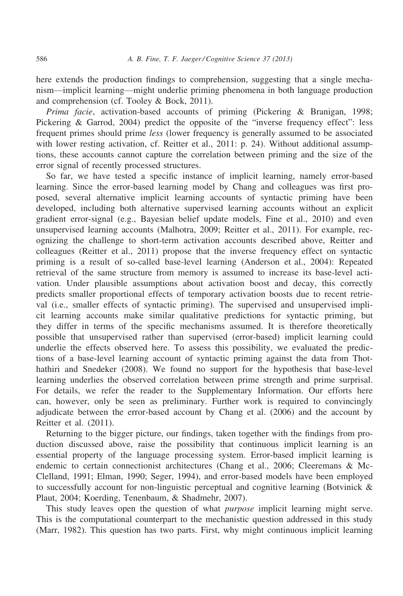here extends the production findings to comprehension, suggesting that a single mechanism—implicit learning—might underlie priming phenomena in both language production and comprehension (cf. Tooley & Bock, 2011).

Prima facie, activation-based accounts of priming (Pickering & Branigan, 1998; Pickering & Garrod, 2004) predict the opposite of the "inverse frequency effect": less frequent primes should prime less (lower frequency is generally assumed to be associated with lower resting activation, cf. Reitter et al., 2011: p. 24). Without additional assumptions, these accounts cannot capture the correlation between priming and the size of the error signal of recently processed structures.

So far, we have tested a specific instance of implicit learning, namely error-based learning. Since the error-based learning model by Chang and colleagues was first proposed, several alternative implicit learning accounts of syntactic priming have been developed, including both alternative supervised learning accounts without an explicit gradient error-signal (e.g., Bayesian belief update models, Fine et al., 2010) and even unsupervised learning accounts (Malhotra, 2009; Reitter et al., 2011). For example, recognizing the challenge to short-term activation accounts described above, Reitter and colleagues (Reitter et al., 2011) propose that the inverse frequency effect on syntactic priming is a result of so-called base-level learning (Anderson et al., 2004): Repeated retrieval of the same structure from memory is assumed to increase its base-level activation. Under plausible assumptions about activation boost and decay, this correctly predicts smaller proportional effects of temporary activation boosts due to recent retrieval (i.e., smaller effects of syntactic priming). The supervised and unsupervised implicit learning accounts make similar qualitative predictions for syntactic priming, but they differ in terms of the specific mechanisms assumed. It is therefore theoretically possible that unsupervised rather than supervised (error-based) implicit learning could underlie the effects observed here. To assess this possibility, we evaluated the predictions of a base-level learning account of syntactic priming against the data from Thothathiri and Snedeker (2008). We found no support for the hypothesis that base-level learning underlies the observed correlation between prime strength and prime surprisal. For details, we refer the reader to the Supplementary Information. Our efforts here can, however, only be seen as preliminary. Further work is required to convincingly adjudicate between the error-based account by Chang et al. (2006) and the account by Reitter et al. (2011).

Returning to the bigger picture, our findings, taken together with the findings from production discussed above, raise the possibility that continuous implicit learning is an essential property of the language processing system. Error-based implicit learning is endemic to certain connectionist architectures (Chang et al., 2006; Cleeremans & Mc-Clelland, 1991; Elman, 1990; Seger, 1994), and error-based models have been employed to successfully account for non-linguistic perceptual and cognitive learning (Botvinick & Plaut, 2004; Koerding, Tenenbaum, & Shadmehr, 2007).

This study leaves open the question of what *purpose* implicit learning might serve. This is the computational counterpart to the mechanistic question addressed in this study (Marr, 1982). This question has two parts. First, why might continuous implicit learning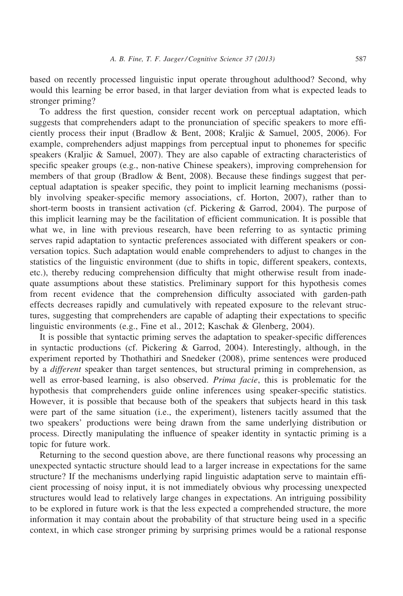based on recently processed linguistic input operate throughout adulthood? Second, why would this learning be error based, in that larger deviation from what is expected leads to stronger priming?

To address the first question, consider recent work on perceptual adaptation, which suggests that comprehenders adapt to the pronunciation of specific speakers to more efficiently process their input (Bradlow & Bent, 2008; Kraljic & Samuel, 2005, 2006). For example, comprehenders adjust mappings from perceptual input to phonemes for specific speakers (Kraljic & Samuel, 2007). They are also capable of extracting characteristics of specific speaker groups (e.g., non-native Chinese speakers), improving comprehension for members of that group (Bradlow & Bent, 2008). Because these findings suggest that perceptual adaptation is speaker specific, they point to implicit learning mechanisms (possibly involving speaker-specific memory associations, cf. Horton, 2007), rather than to short-term boosts in transient activation (cf. Pickering & Garrod, 2004). The purpose of this implicit learning may be the facilitation of efficient communication. It is possible that what we, in line with previous research, have been referring to as syntactic priming serves rapid adaptation to syntactic preferences associated with different speakers or conversation topics. Such adaptation would enable comprehenders to adjust to changes in the statistics of the linguistic environment (due to shifts in topic, different speakers, contexts, etc.), thereby reducing comprehension difficulty that might otherwise result from inadequate assumptions about these statistics. Preliminary support for this hypothesis comes from recent evidence that the comprehension difficulty associated with garden-path effects decreases rapidly and cumulatively with repeated exposure to the relevant structures, suggesting that comprehenders are capable of adapting their expectations to specific linguistic environments (e.g., Fine et al., 2012; Kaschak & Glenberg, 2004).

It is possible that syntactic priming serves the adaptation to speaker-specific differences in syntactic productions (cf. Pickering & Garrod, 2004). Interestingly, although, in the experiment reported by Thothathiri and Snedeker (2008), prime sentences were produced by a different speaker than target sentences, but structural priming in comprehension, as well as error-based learning, is also observed. Prima facie, this is problematic for the hypothesis that comprehenders guide online inferences using speaker-specific statistics. However, it is possible that because both of the speakers that subjects heard in this task were part of the same situation (i.e., the experiment), listeners tacitly assumed that the two speakers' productions were being drawn from the same underlying distribution or process. Directly manipulating the influence of speaker identity in syntactic priming is a topic for future work.

Returning to the second question above, are there functional reasons why processing an unexpected syntactic structure should lead to a larger increase in expectations for the same structure? If the mechanisms underlying rapid linguistic adaptation serve to maintain efficient processing of noisy input, it is not immediately obvious why processing unexpected structures would lead to relatively large changes in expectations. An intriguing possibility to be explored in future work is that the less expected a comprehended structure, the more information it may contain about the probability of that structure being used in a specific context, in which case stronger priming by surprising primes would be a rational response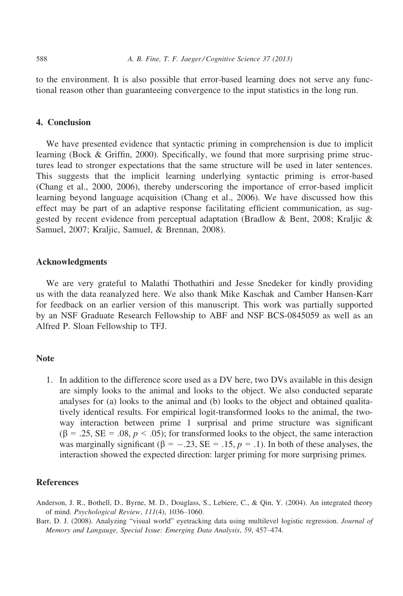to the environment. It is also possible that error-based learning does not serve any functional reason other than guaranteeing convergence to the input statistics in the long run.

# 4. Conclusion

We have presented evidence that syntactic priming in comprehension is due to implicit learning (Bock & Griffin, 2000). Specifically, we found that more surprising prime structures lead to stronger expectations that the same structure will be used in later sentences. This suggests that the implicit learning underlying syntactic priming is error-based (Chang et al., 2000, 2006), thereby underscoring the importance of error-based implicit learning beyond language acquisition (Chang et al., 2006). We have discussed how this effect may be part of an adaptive response facilitating efficient communication, as suggested by recent evidence from perceptual adaptation (Bradlow & Bent, 2008; Kraljic & Samuel, 2007; Kraljic, Samuel, & Brennan, 2008).

#### Acknowledgments

We are very grateful to Malathi Thothathiri and Jesse Snedeker for kindly providing us with the data reanalyzed here. We also thank Mike Kaschak and Camber Hansen-Karr for feedback on an earlier version of this manuscript. This work was partially supported by an NSF Graduate Research Fellowship to ABF and NSF BCS-0845059 as well as an Alfred P. Sloan Fellowship to TFJ.

### **Note**

1. In addition to the difference score used as a DV here, two DVs available in this design are simply looks to the animal and looks to the object. We also conducted separate analyses for (a) looks to the animal and (b) looks to the object and obtained qualitatively identical results. For empirical logit-transformed looks to the animal, the twoway interaction between prime 1 surprisal and prime structure was significant  $(\beta = .25, SE = .08, p < .05)$ ; for transformed looks to the object, the same interaction was marginally significant ( $\beta = -.23$ ,  $SE = .15$ ,  $p = .1$ ). In both of these analyses, the interaction showed the expected direction: larger priming for more surprising primes.

### **References**

- Anderson, J. R., Bothell, D., Byrne, M. D., Douglass, S., Lebiere, C., & Qin, Y. (2004). An integrated theory of mind. Psychological Review, 111(4), 1036–1060.
- Barr, D. J. (2008). Analyzing "visual world" eyetracking data using multilevel logistic regression. Journal of Memory and Langauge, Special Issue: Emerging Data Analysis, 59, 457–474.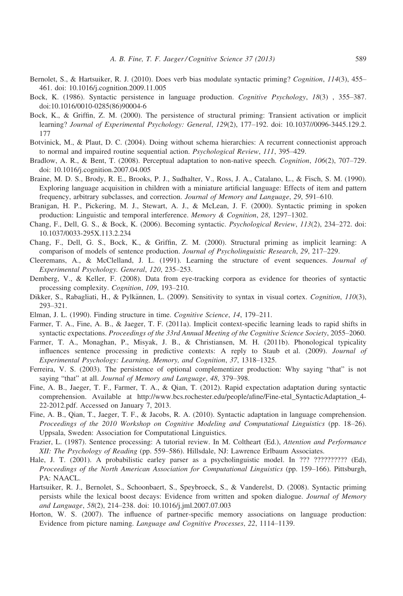- Bernolet, S., & Hartsuiker, R. J. (2010). Does verb bias modulate syntactic priming? Cognition, 114(3), 455– 461. doi: 10.1016/j.cognition.2009.11.005
- Bock, K. (1986). Syntactic persistence in language production. Cognitive Psychology, 18(3) , 355–387. doi:10.1016/0010-0285(86)90004-6
- Bock, K., & Griffin, Z. M. (2000). The persistence of structural priming: Transient activation or implicit learning? Journal of Experimental Psychology: General, 129(2), 177–192. doi: 10.1037//0096-3445.129.2. 177
- Botvinick, M., & Plaut, D. C. (2004). Doing without schema hierarchies: A recurrent connectionist approach to normal and impaired routine sequential action. Psychological Review, 111, 395–429.
- Bradlow, A. R., & Bent, T. (2008). Perceptual adaptation to non-native speech. *Cognition*, 106(2), 707–729. doi: 10.1016/j.cognition.2007.04.005
- Braine, M. D. S., Brody, R. E., Brooks, P. J., Sudhalter, V., Ross, J. A., Catalano, L., & Fisch, S. M. (1990). Exploring language acquisition in children with a miniature artificial language: Effects of item and pattern frequency, arbitrary subclasses, and correction. Journal of Memory and Language, 29, 591–610.
- Branigan, H. P., Pickering, M. J., Stewart, A. J., & McLean, J. F. (2000). Syntactic priming in spoken production: Linguistic and temporal interference. Memory & Cognition, 28, 1297–1302.
- Chang, F., Dell, G. S., & Bock, K. (2006). Becoming syntactic. Psychological Review, 113(2), 234–272. doi: 10.1037/0033-295X.113.2.234
- Chang, F., Dell, G. S., Bock, K., & Griffin, Z. M. (2000). Structural priming as implicit learning: A comparison of models of sentence production. Journal of Psycholinguistic Research, 29, 217–229.
- Cleeremans, A., & McClelland, J. L. (1991). Learning the structure of event sequences. Journal of Experimental Psychology. General, 120, 235–253.
- Demberg, V., & Keller, F. (2008). Data from eye-tracking corpora as evidence for theories of syntactic processing complexity. Cognition, 109, 193–210.
- Dikker, S., Rabagliati, H., & Pylkännen, L. (2009). Sensitivity to syntax in visual cortex. Cognition, 110(3), 293–321.
- Elman, J. L. (1990). Finding structure in time. Cognitive Science, 14, 179–211.
- Farmer, T. A., Fine, A. B., & Jaeger, T. F. (2011a). Implicit context-specific learning leads to rapid shifts in syntactic expectations. Proceedings of the 33rd Annual Meeting of the Cognitive Science Society, 2055–2060.
- Farmer, T. A., Monaghan, P., Misyak, J. B., & Christiansen, M. H. (2011b). Phonological typicality influences sentence processing in predictive contexts: A reply to Staub et al. (2009). Journal of Experimental Psychology: Learning, Memory, and Cognition, 37, 1318–1325.
- Ferreira, V. S. (2003). The persistence of optional complementizer production: Why saying "that" is not saying "that" at all. Journal of Memory and Language, 48, 379-398.
- Fine, A. B., Jaeger, T. F., Farmer, T. A., & Qian, T. (2012). Rapid expectation adaptation during syntactic comprehension. Available at http://www.bcs.rochester.edu/people/afine/Fine-etal\_SyntacticAdaptation\_4- 22-2012.pdf. Accessed on January 7, 2013.
- Fine, A. B., Qian, T., Jaeger, T. F., & Jacobs, R. A. (2010). Syntactic adaptation in language comprehension. Proceedings of the 2010 Workshop on Cognitive Modeling and Computational Linguistics (pp. 18–26). Uppsala, Sweden: Association for Computational Linguistics.
- Frazier, L. (1987). Sentence processing: A tutorial review. In M. Coltheart (Ed.), Attention and Performance XII: The Psychology of Reading (pp. 559–586). Hillsdale, NJ: Lawrence Erlbaum Associates.
- Hale, J. T. (2001). A probabilistic earley parser as a psycholinguistic model. In ??? ?????????? (Ed), Proceedings of the North American Association for Computational Linguistics (pp. 159–166). Pittsburgh, PA: NAACL.
- Hartsuiker, R. J., Bernolet, S., Schoonbaert, S., Speybroeck, S., & Vanderelst, D. (2008). Syntactic priming persists while the lexical boost decays: Evidence from written and spoken dialogue. Journal of Memory and Language, 58(2), 214–238. doi: 10.1016/j.jml.2007.07.003
- Horton, W. S. (2007). The influence of partner-specific memory associations on language production: Evidence from picture naming. Language and Cognitive Processes, 22, 1114–1139.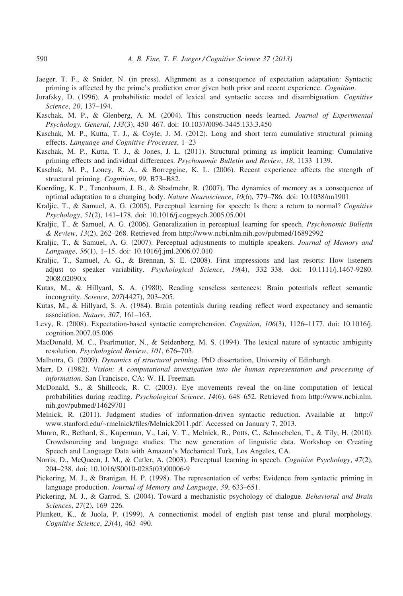- Jaeger, T. F., & Snider, N. (in press). Alignment as a consequence of expectation adaptation: Syntactic priming is affected by the prime's prediction error given both prior and recent experience. Cognition.
- Jurafsky, D. (1996). A probabilistic model of lexical and syntactic access and disambiguation. Cognitive Science, 20, 137–194.
- Kaschak, M. P., & Glenberg, A. M. (2004). This construction needs learned. Journal of Experimental Psychology. General, 133(3), 450–467. doi: 10.1037/0096-3445.133.3.450
- Kaschak, M. P., Kutta, T. J., & Coyle, J. M. (2012). Long and short term cumulative structural priming effects. Language and Cognitive Processes, 1–23
- Kaschak, M. P., Kutta, T. J., & Jones, J. L. (2011). Structural priming as implicit learning: Cumulative priming effects and individual differences. Psychonomic Bulletin and Review, 18, 1133–1139.
- Kaschak, M. P., Loney, R. A., & Borreggine, K. L. (2006). Recent experience affects the strength of structural priming. Cognition, 99, B73–B82.
- Koerding, K. P., Tenenbaum, J. B., & Shadmehr, R. (2007). The dynamics of memory as a consequence of optimal adaptation to a changing body. Nature Neuroscience, 10(6), 779–786. doi: 10.1038/nn1901
- Kraljic, T., & Samuel, A. G. (2005). Perceptual learning for speech: Is there a return to normal? Cognitive Psychology, 51(2), 141–178. doi: 10.1016/j.cogpsych.2005.05.001
- Kraljic, T., & Samuel, A. G. (2006). Generalization in perceptual learning for speech. Psychonomic Bulletin & Review, 13(2), 262–268. Retrieved from http://www.ncbi.nlm.nih.gov/pubmed/16892992
- Kraljic, T., & Samuel, A. G. (2007). Perceptual adjustments to multiple speakers. Journal of Memory and Language, 56(1), 1–15. doi: 10.1016/j.jml.2006.07.010
- Kraljic, T., Samuel, A. G., & Brennan, S. E. (2008). First impressions and last resorts: How listeners adjust to speaker variability. Psychological Science, 19(4), 332–338. doi: 10.1111/j.1467-9280. 2008.02090.x
- Kutas, M., & Hillyard, S. A. (1980). Reading senseless sentences: Brain potentials reflect semantic incongruity. Science, 207(4427), 203–205.
- Kutas, M., & Hillyard, S. A. (1984). Brain potentials during reading reflect word expectancy and semantic association. Nature, 307, 161–163.
- Levy, R. (2008). Expectation-based syntactic comprehension. Cognition, 106(3), 1126-1177. doi: 10.1016/j. cognition.2007.05.006
- MacDonald, M. C., Pearlmutter, N., & Seidenberg, M. S. (1994). The lexical nature of syntactic ambiguity resolution. Psychological Review, 101, 676–703.
- Malhotra, G. (2009). Dynamics of structural priming. PhD dissertation, University of Edinburgh.
- Marr, D. (1982). Vision: A computational investigation into the human representation and processing of information. San Francisco, CA: W. H. Freeman.
- McDonald, S., & Shillcock, R. C. (2003). Eye movements reveal the on-line computation of lexical probabilities during reading. Psychological Science, 14(6), 648–652. Retrieved from http://www.ncbi.nlm. nih.gov/pubmed/14629701
- Melnick, R. (2011). Judgment studies of information-driven syntactic reduction. Available at http:// www.stanford.edu/~rmelnick/files/Melnick2011.pdf. Accessed on January 7, 2013.
- Munro, R., Bethard, S., Kuperman, V., Lai, V. T., Melnick, R., Potts, C., Schnoebelen, T., & Tily, H. (2010). Crowdsourcing and language studies: The new generation of linguistic data. Workshop on Creating Speech and Language Data with Amazon's Mechanical Turk, Los Angeles, CA.
- Norris, D., McQueen, J. M., & Cutler, A. (2003). Perceptual learning in speech. Cognitive Psychology, 47(2), 204–238. doi: 10.1016/S0010-0285(03)00006-9
- Pickering, M. J., & Branigan, H. P. (1998). The representation of verbs: Evidence from syntactic priming in language production. Journal of Memory and Language, 39, 633–651.
- Pickering, M. J., & Garrod, S. (2004). Toward a mechanistic psychology of dialogue. Behavioral and Brain Sciences, 27(2), 169–226.
- Plunkett, K., & Juola, P. (1999). A connectionist model of english past tense and plural morphology. Cognitive Science, 23(4), 463–490.